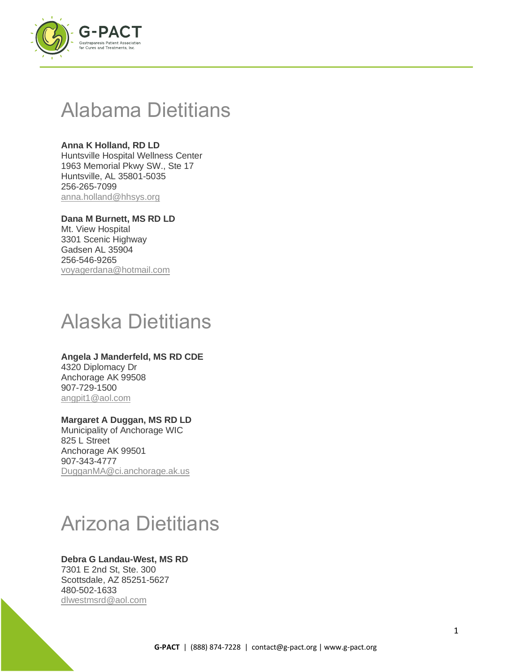

## Alabama Dietitians

**Anna K Holland, RD LD** Huntsville Hospital Wellness Center 1963 Memorial Pkwy SW., Ste 17 Huntsville, AL 35801-5035 256-265-7099 [anna.holland@hhsys.org](mailto:anna.holland@hhsys.org)

**Dana M Burnett, MS RD LD** Mt. View Hospital 3301 Scenic Highway Gadsen AL 35904 256-546-9265 [voyagerdana@hotmail.com](mailto:voyagerdana@hotmail.com)

# Alaska Dietitians

## **Angela J Manderfeld, MS RD CDE** 4320 Diplomacy Dr

Anchorage AK 99508 907-729-1500 [angpit1@aol.com](mailto:angpit1@aol.com)

## **Margaret A Duggan, MS RD LD**

Municipality of Anchorage WIC 825 L Street Anchorage AK 99501 907-343-4777 [DugganMA@ci.anchorage.ak.us](mailto:DugganMA@ci.anchorage.ak.us)

# Arizona Dietitians

## **Debra G Landau-West, MS RD**

7301 E 2nd St, Ste. 300 Scottsdale, AZ 85251-5627 480-502-1633 [dlwestmsrd@aol.com](mailto:dlwestmsrd@aol.com)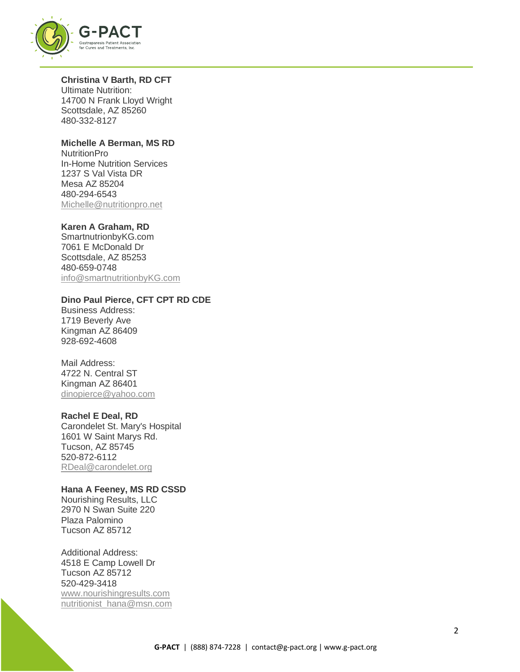

#### **Christina V Barth, RD CFT**

Ultimate Nutrition: 14700 N Frank Lloyd Wright Scottsdale, AZ 85260 480-332-8127

## **Michelle A Berman, MS RD**

NutritionPro In-Home Nutrition Services 1237 S Val Vista DR Mesa AZ 85204 480-294-6543 [Michelle@nutritionpro.net](mailto:Michelle@nutritionpro.net)

## **Karen A Graham, RD**

SmartnutrionbyKG.com 7061 E McDonald Dr Scottsdale, AZ 85253 480-659-0748 [info@smartnutritionbyKG.com](mailto:info@smartnutritionbyKG.com)

## **Dino Paul Pierce, CFT CPT RD CDE**

Business Address: 1719 Beverly Ave Kingman AZ 86409 928-692-4608

## Mail Address:

4722 N. Central ST Kingman AZ 86401 [dinopierce@yahoo.com](mailto:dinopierce@yahoo.com)

## **Rachel E Deal, RD**

Carondelet St. Mary's Hospital 1601 W Saint Marys Rd. Tucson, AZ 85745 520-872-6112 [RDeal@carondelet.org](mailto:RDeal@carondelet.org)

## **Hana A Feeney, MS RD CSSD**

Nourishing Results, LLC 2970 N Swan Suite 220 Plaza Palomino Tucson AZ 85712

Additional Address: 4518 E Camp Lowell Dr Tucson AZ 85712 520-429-3418 [www.nourishingresults.com](http://www.nourishingresults.com/) [nutritionist\\_hana@msn.com](mailto:nutritionist_hana@msn.com)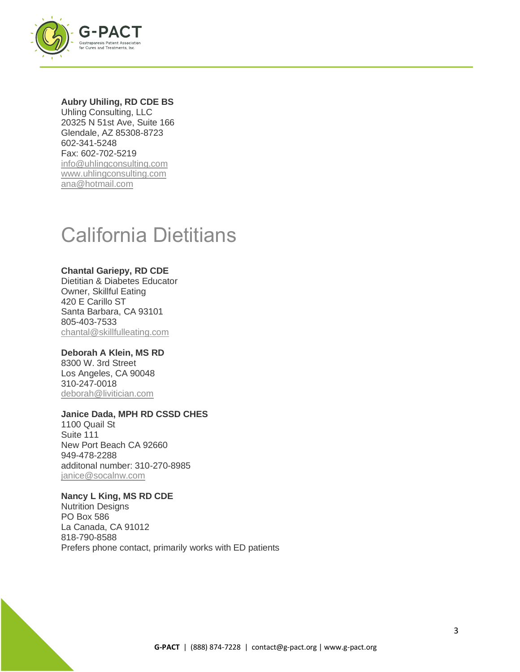

#### **Aubry Uhiling, RD CDE BS**

Uhling Consulting, LLC 20325 N 51st Ave, Suite 166 Glendale, AZ 85308-8723 602-341-5248 Fax: 602-702-5219 [info@uhlingconsulting.com](mailto:info@uhlingconsulting.com) [www.uhlingconsulting.com](http://www.uhlingconsulting.com/) [ana@hotmail.com](mailto:ana@hotmail.com)

## California Dietitians

#### **Chantal Gariepy, RD CDE**

Dietitian & Diabetes Educator Owner, Skillful Eating 420 E Carillo ST Santa Barbara, CA 93101 805-403-7533 [chantal@skillfulleating.com](mailto:chantal@skillfulleating.com)

## **Deborah A Klein, MS RD**

8300 W. 3rd Street Los Angeles, CA 90048 310-247-0018 [deborah@livitician.com](mailto:deborah@livitician.com)

#### **Janice Dada, MPH RD CSSD CHES**

1100 Quail St Suite 111 New Port Beach CA 92660 949-478-2288 additonal number: 310-270-8985 [janice@socalnw.com](mailto:janice@socalnw.com)

## **Nancy L King, MS RD CDE**

Nutrition Designs PO Box 586 La Canada, CA 91012 818-790-8588 Prefers phone contact, primarily works with ED patients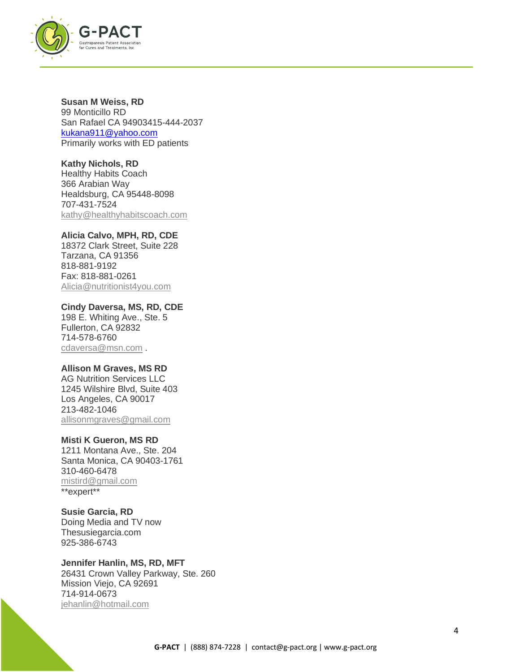

**Susan M Weiss, RD** 99 Monticillo RD San Rafael CA 94903415-444-2037 [kukana911@yahoo.com](mailto:kukana911@yahoo.com) Primarily works with ED patients

**Kathy Nichols, RD** Healthy Habits Coach 366 Arabian Way Healdsburg, CA 95448-8098 707-431-7524 [kathy@healthyhabitscoach.com](mailto:kathy@healthyhabitscoach.com)

## **Alicia Calvo, MPH, RD, CDE**

18372 Clark Street, Suite 228 Tarzana, CA 91356 818-881-9192 Fax: 818-881-0261 [Alicia@nutritionist4you.com](mailto:Alicia@nutritionist4you.com)

**Cindy Daversa, MS, RD, CDE** 198 E. Whiting Ave., Ste. 5 Fullerton, CA 92832 714-578-6760 [cdaversa@msn.com](mailto:cdaversa@msn.com) .

#### **Allison M Graves, MS RD**

AG Nutrition Services LLC 1245 Wilshire Blvd, Suite 403 Los Angeles, CA 90017 213-482-1046 [allisonmgraves@gmail.com](mailto:allisonmgraves@gmail.com)

#### **Misti K Gueron, MS RD**

1211 Montana Ave., Ste. 204 Santa Monica, CA 90403-1761 310-460-6478 [mistird@gmail.com](mailto:mistird@gmail.com) \*\*expert\*\*

**Susie Garcia, RD** Doing Media and TV now Thesusiegarcia.com 925-386-6743

**Jennifer Hanlin, MS, RD, MFT** 26431 Crown Valley Parkway, Ste. 260 Mission Viejo, CA 92691 714-914-0673 [jehanlin@hotmail.com](mailto:jehanlin@hotmail.com)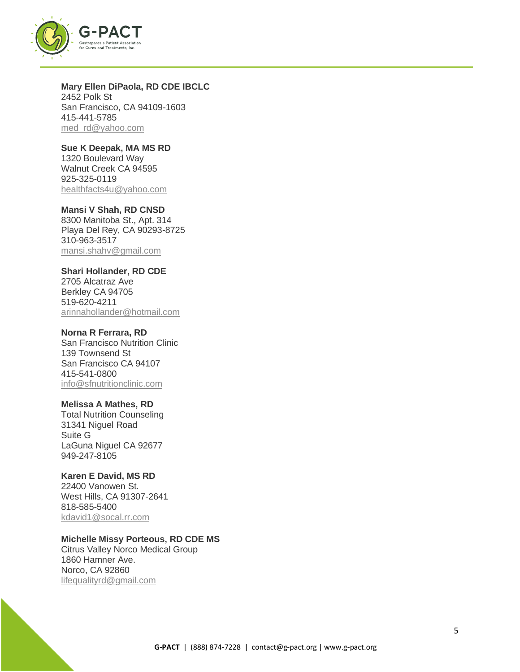

**Mary Ellen DiPaola, RD CDE IBCLC** 2452 Polk St San Francisco, CA 94109-1603 415-441-5785 [med\\_rd@yahoo.com](mailto:med_rd@yahoo.com)

**Sue K Deepak, MA MS RD** 1320 Boulevard Way Walnut Creek CA 94595 925-325-0119 [healthfacts4u@yahoo.com](mailto:healthfacts4u@yahoo.com)

**Mansi V Shah, RD CNSD** 8300 Manitoba St., Apt. 314 Playa Del Rey, CA 90293-8725 310-963-3517 [mansi.shahv@gmail.com](mailto:mansi.shahv@gmail.com)

#### **Shari Hollander, RD CDE**

2705 Alcatraz Ave Berkley CA 94705 519-620-4211 [arinnahollander@hotmail.com](mailto:arinnahollander@hotmail.com)

## **Norna R Ferrara, RD**

San Francisco Nutrition Clinic 139 Townsend St San Francisco CA 94107 415-541-0800 [info@sfnutritionclinic.com](mailto:info@sfnutritionclinic.com)

#### **Melissa A Mathes, RD**

Total Nutrition Counseling 31341 Niguel Road Suite G LaGuna Niguel CA 92677 949-247-8105

## **Karen E David, MS RD**

22400 Vanowen St. West Hills, CA 91307-2641 818-585-5400 [kdavid1@socal.rr.com](mailto:kdavid1@socal.rr.com)

#### **Michelle Missy Porteous, RD CDE MS**

Citrus Valley Norco Medical Group 1860 Hamner Ave. Norco, CA 92860 [lifequalityrd@gmail.com](mailto:lifequalityrd@gmail.com)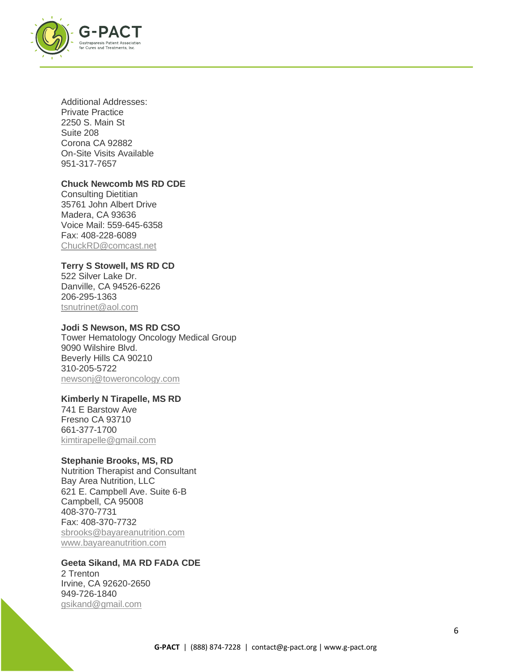

Additional Addresses: Private Practice 2250 S. Main St Suite 208 Corona CA 92882 On-Site Visits Available 951-317-7657

## **Chuck Newcomb MS RD CDE**

Consulting Dietitian 35761 John Albert Drive Madera, CA 93636 Voice Mail: 559-645-6358 Fax: 408-228-6089 [ChuckRD@comcast.net](mailto:ChuckRD@comcast.net)

#### **Terry S Stowell, MS RD CD**

522 Silver Lake Dr. Danville, CA 94526-6226 206-295-1363 [tsnutrinet@aol.com](mailto:tsnutrinet@aol.com)

#### **Jodi S Newson, MS RD CSO**

Tower Hematology Oncology Medical Group 9090 Wilshire Blvd. Beverly Hills CA 90210 310-205-5722 [newsonj@toweroncology.com](mailto:newsonj@toweroncology.com)

## **Kimberly N Tirapelle, MS RD**

741 E Barstow Ave Fresno CA 93710 661-377-1700 [kimtirapelle@gmail.com](mailto:kimtirapelle@gmail.com)

## **Stephanie Brooks, MS, RD**

Nutrition Therapist and Consultant Bay Area Nutrition, LLC 621 E. Campbell Ave. Suite 6-B Campbell, CA 95008 408-370-7731 Fax: 408-370-7732 [sbrooks@bayareanutrition.com](mailto:sbrooks@bayareanutrition.com)  [www.bayareanutrition.com](http://www.bayareanutrition.com/)

#### **Geeta Sikand, MA RD FADA CDE**

2 Trenton Irvine, CA 92620-2650 949-726-1840 [gsikand@gmail.com](mailto:gsikand@gmail.com)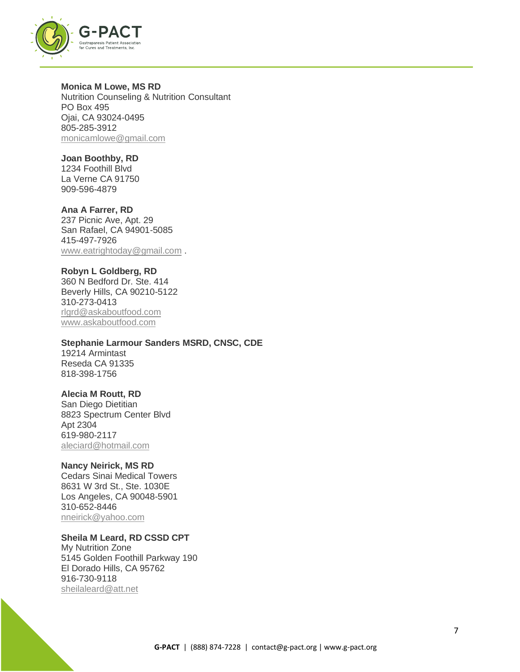

**Monica M Lowe, MS RD** Nutrition Counseling & Nutrition Consultant PO Box 495 Ojai, CA 93024-0495 805-285-3912 [monicamlowe@gmail.com](mailto:monicamlowe@gmail.com)

**Joan Boothby, RD** 1234 Foothill Blvd La Verne CA 91750 909-596-4879

**Ana A Farrer, RD** 237 Picnic Ave, Apt. 29 San Rafael, CA 94901-5085 415-497-7926 [www.eatrightoday@gmail.com](mailto:www.eatrightoday@gmail.com) .

## **Robyn L Goldberg, RD**

360 N Bedford Dr. Ste. 414 Beverly Hills, CA 90210-5122 310-273-0413 [rlgrd@askaboutfood.com](mailto:rlgrd@askaboutfood.com) [www.askaboutfood.com](http://www.askaboutfood.com/)

#### **Stephanie Larmour Sanders MSRD, CNSC, CDE**

19214 Armintast Reseda CA 91335 818-398-1756

## **Alecia M Routt, RD**

San Diego Dietitian 8823 Spectrum Center Blvd Apt 2304 619-980-2117 [aleciard@hotmail.com](mailto:aleciard@hotmail.com)

#### **Nancy Neirick, MS RD**

Cedars Sinai Medical Towers 8631 W 3rd St., Ste. 1030E Los Angeles, CA 90048-5901 310-652-8446 [nneirick@yahoo.com](mailto:nneirick@yahoo.com)

## **Sheila M Leard, RD CSSD CPT**

My Nutrition Zone 5145 Golden Foothill Parkway 190 El Dorado Hills, CA 95762 916-730-9118 [sheilaleard@att.net](mailto:sheilaleard@att.net)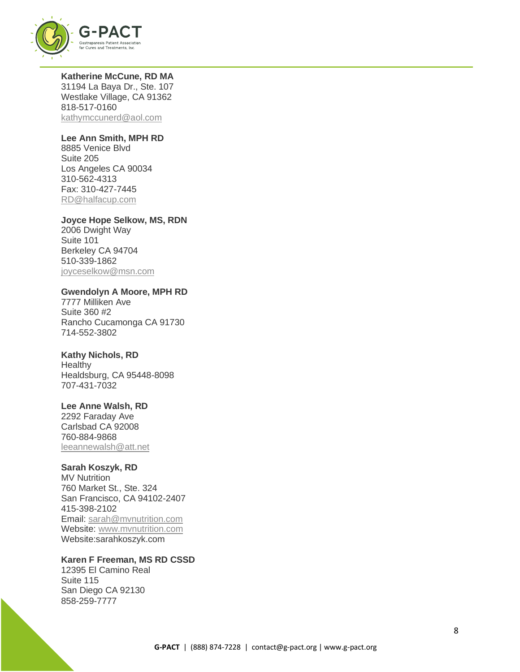

**Katherine McCune, RD MA** 31194 La Baya Dr., Ste. 107 Westlake Village, CA 91362 818-517-0160 [kathymccunerd@aol.com](mailto:kathymccunerd@aol.com)

#### **Lee Ann Smith, MPH RD**

8885 Venice Blvd Suite 205 Los Angeles CA 90034 310-562-4313 Fax: 310-427-7445 [RD@halfacup.com](mailto:RD@halfacup.com)

#### **Joyce Hope Selkow, MS, RDN**

2006 Dwight Way Suite 101 Berkeley CA 94704 510-339-1862 [joyceselkow@msn.com](mailto:joyceselkow@msn.com)

## **Gwendolyn A Moore, MPH RD**

7777 Milliken Ave Suite 360 #2 Rancho Cucamonga CA 91730 714-552-3802

## **Kathy Nichols, RD**

**Healthy** Healdsburg, CA 95448-8098 707-431-7032

## **Lee Anne Walsh, RD**

2292 Faraday Ave Carlsbad CA 92008 760-884-9868 [leeannewalsh@att.net](mailto:leeannewalsh@att.net)

## **Sarah Koszyk, RD**

MV Nutrition 760 Market St., Ste. 324 San Francisco, CA 94102-2407 415-398-2102 Email: [sarah@mvnutrition.com](mailto:sarah@mvnutrition.com) Website: [www.mvnutrition.com](http://www.mvnutrition.com/) Website:sarahkoszyk.com

## **Karen F Freeman, MS RD CSSD**

12395 El Camino Real Suite 115 San Diego CA 92130 858-259-7777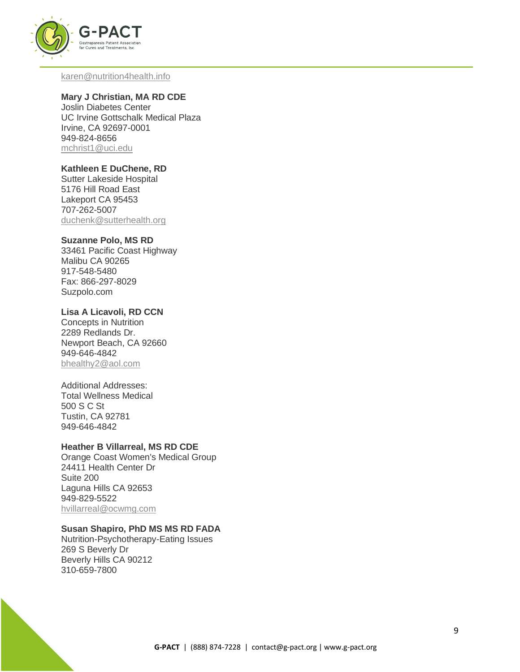

#### [karen@nutrition4health.info](mailto:karen@nutrition4health.info)

## **Mary J Christian, MA RD CDE**

Joslin Diabetes Center UC Irvine Gottschalk Medical Plaza Irvine, CA 92697-0001 949-824-8656 [mchrist1@uci.edu](mailto:mchrist1@uci.edu)

## **Kathleen E DuChene, RD**

Sutter Lakeside Hospital 5176 Hill Road East Lakeport CA 95453 707-262-5007 [duchenk@sutterhealth.org](mailto:duchenk@sutterhealth.org)

#### **Suzanne Polo, MS RD**

33461 Pacific Coast Highway Malibu CA 90265 917-548-5480 Fax: 866-297-8029 Suzpolo.com

## **Lisa A Licavoli, RD CCN**

Concepts in Nutrition 2289 Redlands Dr. Newport Beach, CA 92660 949-646-4842 [bhealthy2@aol.com](mailto:bhealthy2@aol.com)

## Additional Addresses:

Total Wellness Medical 500 S C St Tustin, CA 92781 949-646-4842

#### **Heather B Villarreal, MS RD CDE**

Orange Coast Women's Medical Group 24411 Health Center Dr Suite 200 Laguna Hills CA 92653 949-829-5522 [hvillarreal@ocwmg.com](mailto:hvillarreal@ocwmg.com)

## **Susan Shapiro, PhD MS MS RD FADA**

Nutrition-Psychotherapy-Eating Issues 269 S Beverly Dr Beverly Hills CA 90212 310-659-7800

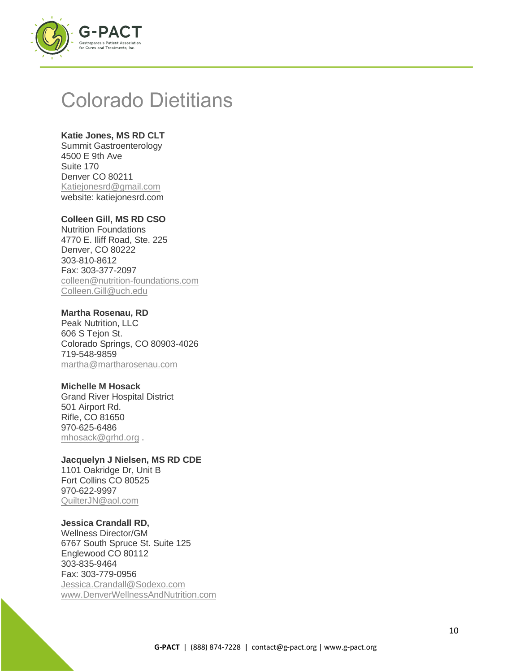

## Colorado Dietitians

## **Katie Jones, MS RD CLT**

Summit Gastroenterology 4500 E 9th Ave Suite 170 Denver CO 80211 [Katiejonesrd@gmail.com](mailto:Katiejonesrd@gmail.com) website: katiejonesrd.com

## **Colleen Gill, MS RD CSO**

Nutrition Foundations 4770 E. Iliff Road, Ste. 225 Denver, CO 80222 303-810-8612 Fax: 303-377-2097 [colleen@nutrition-foundations.com](mailto:colleen@nutrition-foundations.com) [Colleen.Gill@uch.edu](mailto:Colleen.Gill@uch.edu)

## **Martha Rosenau, RD**

Peak Nutrition, LLC 606 S Tejon St. Colorado Springs, CO 80903-4026 719-548-9859 [martha@martharosenau.com](mailto:martha@martharosenau.com)

#### **Michelle M Hosack**

Grand River Hospital District 501 Airport Rd. Rifle, CO 81650 970-625-6486 [mhosack@grhd.org](mailto:mhosack@grhd.org).

#### **Jacquelyn J Nielsen, MS RD CDE** 1101 Oakridge Dr, Unit B

Fort Collins CO 80525 970-622-9997 [QuilterJN@aol.com](mailto:QuilterJN@aol.com)

## **Jessica Crandall RD,**

Wellness Director/GM 6767 South Spruce St. Suite 125 Englewood CO 80112 303-835-9464 Fax: 303-779-0956 [Jessica.Crandall@Sodexo.com](mailto:Jessica.Crandall@Sodexo.com) [www.DenverWellnessAndNutrition.com](http://www.denverwellnessandnutrition.com/)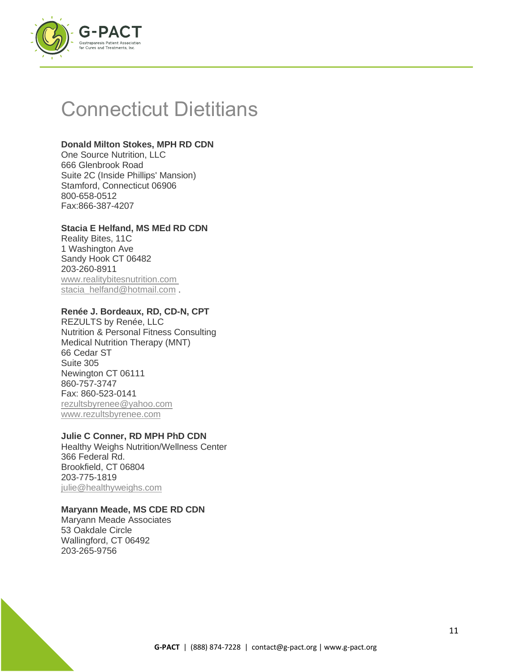

## Connecticut Dietitians

## **Donald Milton Stokes, MPH RD CDN**

One Source Nutrition, LLC 666 Glenbrook Road Suite 2C (Inside Phillips' Mansion) Stamford, Connecticut 06906 800-658-0512 Fax:866-387-4207

## **Stacia E Helfand, MS MEd RD CDN**

Reality Bites, 11C 1 Washington Ave Sandy Hook CT 06482 203-260-8911 www.realitybitesnutrition.com [stacia\\_helfand@hotmail.com](mailto:stacia_helfand@hotmail.com) .

## **Renée J. Bordeaux, RD, CD-N, CPT**

REZULTS by Renée, LLC Nutrition & Personal Fitness Consulting Medical Nutrition Therapy (MNT) 66 Cedar ST Suite 305 Newington CT 06111 860-757-3747 Fax: 860-523-0141 [rezultsbyrenee@yahoo.com](mailto:rezultsbyrenee@yahoo.com)  [www.rezultsbyrenee.com](http://www.rezultsbyrenee.com/)

## **Julie C Conner, RD MPH PhD CDN**

Healthy Weighs Nutrition/Wellness Center 366 Federal Rd. Brookfield, CT 06804 203-775-1819 [julie@healthyweighs.com](mailto:julie@healthyweighs.com)

## **Maryann Meade, MS CDE RD CDN**

Maryann Meade Associates 53 Oakdale Circle Wallingford, CT 06492 203-265-9756

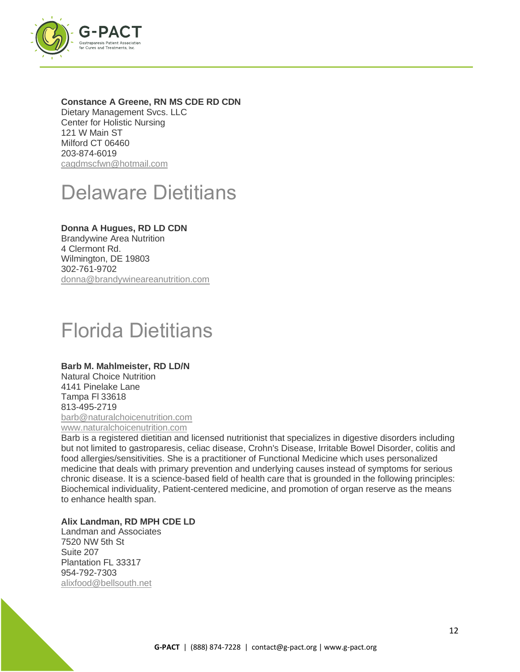

## **Constance A Greene, RN MS CDE RD CDN**

Dietary Management Svcs. LLC Center for Holistic Nursing 121 W Main ST Milford CT 06460 203-874-6019 [cagdmscfwn@hotmail.com](mailto:cagdmscfwn@hotmail.com)

## Delaware Dietitians

## **Donna A Hugues, RD LD CDN**

Brandywine Area Nutrition 4 Clermont Rd. Wilmington, DE 19803 302-761-9702 [donna@brandywineareanutrition.com](mailto:donna@brandywineareanutrition.com)

# Florida Dietitians

## **Barb M. Mahlmeister, RD LD/N**

Natural Choice Nutrition 4141 Pinelake Lane Tampa Fl 33618 813-495-2719 [barb@naturalchoicenutrition.com](mailto:barb@naturalchoicenutrition.com) [www.naturalchoicenutrition.com](http://www.naturalchoicenutrition.com/)

Barb is a registered dietitian and licensed nutritionist that specializes in digestive disorders including but not limited to gastroparesis, celiac disease, Crohn's Disease, Irritable Bowel Disorder, colitis and food allergies/sensitivities. She is a practitioner of Functional Medicine which uses personalized medicine that deals with primary prevention and underlying causes instead of symptoms for serious chronic disease. It is a science-based field of health care that is grounded in the following principles: Biochemical individuality, Patient-centered medicine, and promotion of organ reserve as the means to enhance health span.

## **Alix Landman, RD MPH CDE LD**

Landman and Associates 7520 NW 5th St Suite 207 Plantation FL 33317 954-792-7303 [alixfood@bellsouth.net](mailto:alixfood@bellsouth.net)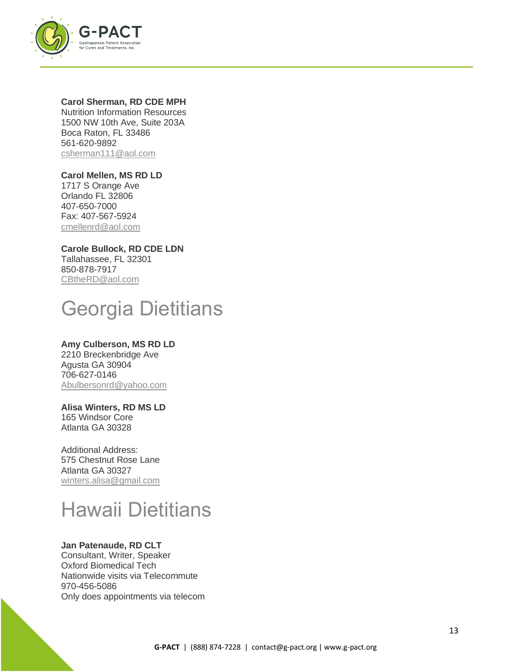

#### **Carol Sherman, RD CDE MPH**

Nutrition Information Resources 1500 NW 10th Ave, Suite 203A Boca Raton, FL 33486 561-620-9892 [csherman111@aol.com](mailto:csherman111@aol.com)

## **Carol Mellen, MS RD LD**

1717 S Orange Ave Orlando FL 32806 407-650-7000 Fax: 407-567-5924 [cmellenrd@aol.com](mailto:cmellenrd@aol.com)

**Carole Bullock, RD CDE LDN** Tallahassee, FL 32301 850-878-7917 [CBtheRD@aol.com](mailto:CBtheRD@aol.com)

# Georgia Dietitians

## **Amy Culberson, MS RD LD**

2210 Breckenbridge Ave Agusta GA 30904 706-627-0146 [Abulbersonrd@yahoo.com](mailto:Abulbersonrd@yahoo.com)

## **Alisa Winters, RD MS LD**

165 Windsor Core Atlanta GA 30328

Additional Address: 575 Chestnut Rose Lane Atlanta GA 30327 [winters.alisa@gmail.com](mailto:winters.alisa@gmail.com)

# Hawaii Dietitians

## **Jan Patenaude, RD CLT**

Consultant, Writer, Speaker Oxford Biomedical Tech Nationwide visits via Telecommute 970-456-5086 Only does appointments via telecom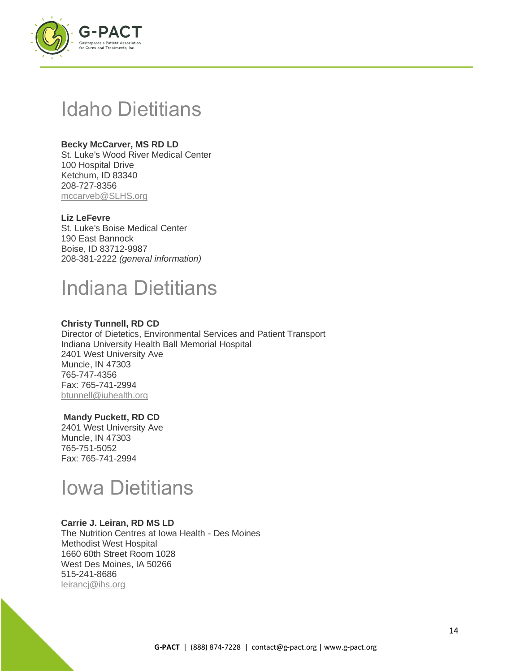

## Idaho Dietitians

## **Becky McCarver, MS RD LD**

St. Luke's Wood River Medical Center 100 Hospital Drive Ketchum, ID 83340 208-727-8356 [mccarveb@SLHS.org](mailto:mccarveb@SLHS.org)

## **Liz LeFevre**

St. Luke's Boise Medical Center 190 East Bannock Boise, ID 83712-9987 208-381-2222 *(general information)*

## Indiana Dietitians

## **Christy Tunnell, RD CD**

Director of Dietetics, Environmental Services and Patient Transport Indiana University Health Ball Memorial Hospital 2401 West University Ave Muncie, IN 47303 765-747-4356 Fax: 765-741-2994 [btunnell@iuhealth.org](mailto:btunnell@iuhealth.org)

## **Mandy Puckett, RD CD**

2401 West University Ave Muncle, IN 47303 765-751-5052 Fax: 765-741-2994

## Iowa Dietitians

## **Carrie J. Leiran, RD MS LD**

The Nutrition Centres at Iowa Health - Des Moines Methodist West Hospital 1660 60th Street Room 1028 West Des Moines, IA 50266 515-241-8686 [leirancj@ihs.org](mailto:leirancj@ihs.org)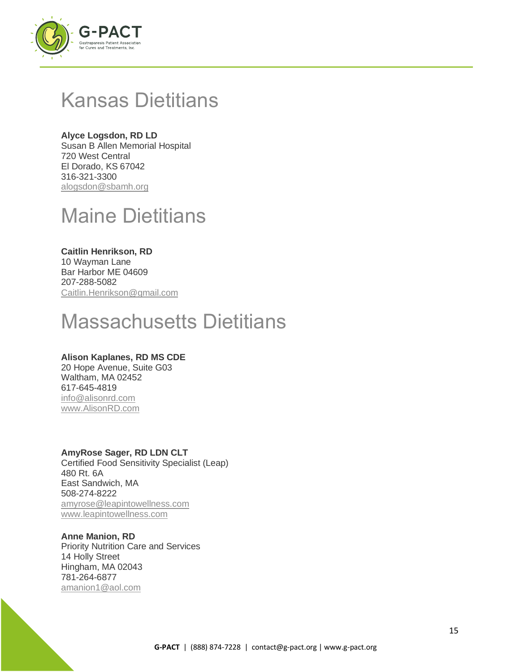

## Kansas Dietitians

## **Alyce Logsdon, RD LD**

Susan B Allen Memorial Hospital 720 West Central El Dorado, KS 67042 316-321-3300 [alogsdon@sbamh.org](mailto:alogsdon@sbamh.org)

## Maine Dietitians

## **Caitlin Henrikson, RD**

10 Wayman Lane Bar Harbor ME 04609 207-288-5082 [Caitlin.Henrikson@gmail.com](mailto:Caitlin.Henrikson@gmail.com)

# Massachusetts Dietitians

## **Alison Kaplanes, RD MS CDE**

20 Hope Avenue, Suite G03 Waltham, MA 02452 617-645-4819 [info@alisonrd.com](mailto:info@alisonrd.com) [www.AlisonRD.com](http://www.alisonrd.com/)

## **AmyRose Sager, RD LDN CLT**

Certified Food Sensitivity Specialist (Leap) 480 Rt. 6A East Sandwich, MA 508-274-8222 [amyrose@leapintowellness.com](mailto:amyrose@leapintowellness.com) [www.leapintowellness.com](http://www.leapintowellness.com/)

## **Anne Manion, RD**

Priority Nutrition Care and Services 14 Holly Street Hingham, MA 02043 781-264-6877 [amanion1@aol.com](mailto:amanion1@aol.com)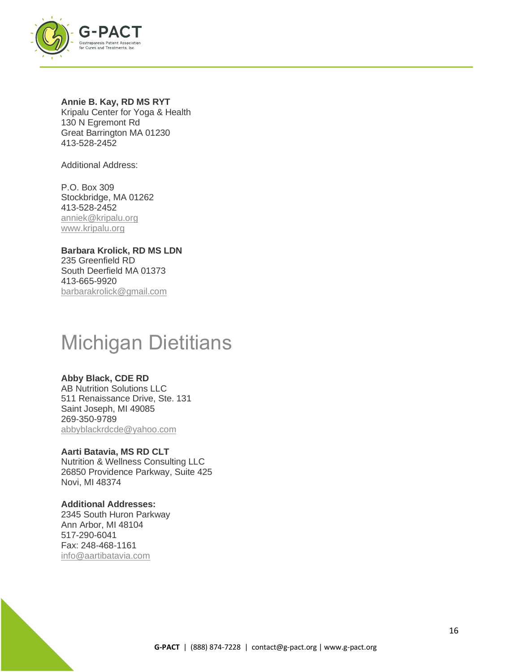

## **Annie B. Kay, RD MS RYT**

Kripalu Center for Yoga & Health 130 N Egremont Rd Great Barrington MA 01230 413-528-2452

Additional Address:

P.O. Box 309 Stockbridge, MA 01262 413-528-2452 [anniek@kripalu.org](mailto:anniek@kripalu.org) [www.kripalu.org](http://www.kripalu.org/)

**Barbara Krolick, RD MS LDN** 235 Greenfield RD South Deerfield MA 01373 413-665-9920 [barbarakrolick@gmail.com](mailto:barbarakrolick@gmail.com)

## Michigan Dietitians

## **Abby Black, CDE RD**

AB Nutrition Solutions LLC 511 Renaissance Drive, Ste. 131 Saint Joseph, MI 49085 269-350-9789 [abbyblackrdcde@yahoo.com](mailto:abbyblackrdcde@yahoo.com)

**Aarti Batavia, MS RD CLT** Nutrition & Wellness Consulting LLC 26850 Providence Parkway, Suite 425 Novi, MI 48374

**Additional Addresses:** 2345 South Huron Parkway Ann Arbor, MI 48104 517-290-6041 Fax: 248-468-1161 [info@aartibatavia.com](mailto:info@aartibatavia.com)

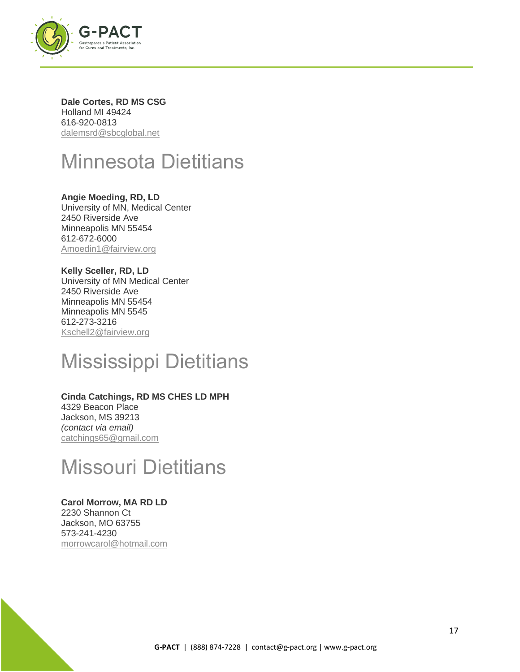

**Dale Cortes, RD MS CSG** Holland MI 49424 616-920-0813 [dalemsrd@sbcglobal.net](mailto:dalemsrd@sbcglobal.net)

# Minnesota Dietitians

**Angie Moeding, RD, LD** University of MN, Medical Center 2450 Riverside Ave Minneapolis MN 55454 612-672-6000 [Amoedin1@fairview.org](mailto:Amoedin1@fairview.org)

**Kelly Sceller, RD, LD** University of MN Medical Center 2450 Riverside Ave Minneapolis MN 55454 Minneapolis MN 5545 612-273-3216 [Kschell2@fairview.org](mailto:Kschell2@fairview.org)

# Mississippi Dietitians

## **Cinda Catchings, RD MS CHES LD MPH**

4329 Beacon Place Jackson, MS 39213 *(contact via email)* [catchings65@gmail.com](mailto:catchings65@gmail.com)

## Missouri Dietitians

## **Carol Morrow, MA RD LD**

2230 Shannon Ct Jackson, MO 63755 573-241-4230 [morrowcarol@hotmail.com](mailto:morrowcarol@hotmail.com)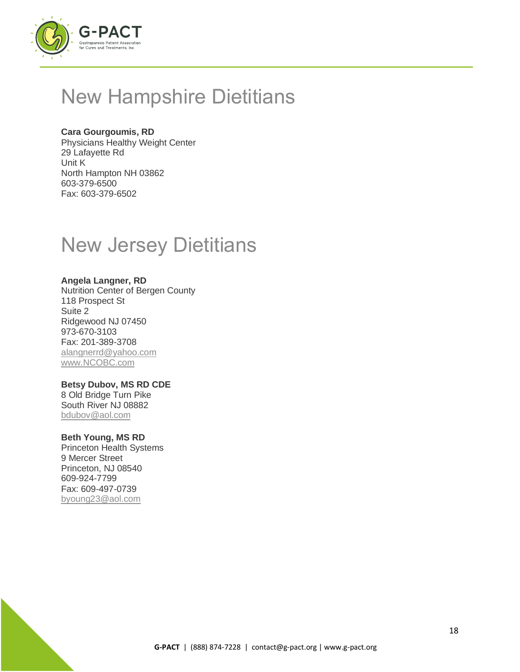

# New Hampshire Dietitians

## **Cara Gourgoumis, RD**

Physicians Healthy Weight Center 29 Lafayette Rd Unit K North Hampton NH 03862 603-379-6500 Fax: 603-379-6502

## New Jersey Dietitians

## **Angela Langner, RD**

Nutrition Center of Bergen County 118 Prospect St Suite 2 Ridgewood NJ 07450 973-670-3103 Fax: 201-389-3708 [alangnerrd@yahoo.com](mailto:alangnerrd@yahoo.com) [www.NCOBC.com](http://www.ncobc.com/)

## **Betsy Dubov, MS RD CDE**

8 Old Bridge Turn Pike South River NJ 08882 [bdubov@aol.com](mailto:bdubov@aol.com)

## **Beth Young, MS RD**

Princeton Health Systems 9 Mercer Street Princeton, NJ 08540 609-924-7799 Fax: 609-497-0739 [byoung23@aol.com](mailto:byoung23@aol.com)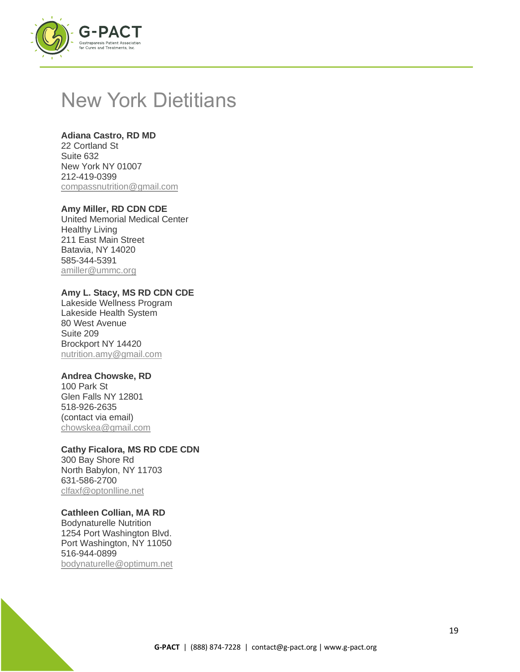

## New York Dietitians

## **Adiana Castro, RD MD**

22 Cortland St Suite 632 New York NY 01007 212-419-0399 [compassnutrition@gmail.com](mailto:compassnutrition@gmail.com)

## **Amy Miller, RD CDN CDE**

United Memorial Medical Center Healthy Living 211 East Main Street Batavia, NY 14020 585-344-5391 [amiller@ummc.org](mailto:amiller@ummc.org)

## **Amy L. Stacy, MS RD CDN CDE**

Lakeside Wellness Program Lakeside Health System 80 West Avenue Suite 209 Brockport NY 14420 [nutrition.amy@gmail.com](mailto:nutrition.amy@gmail.com)

## **Andrea Chowske, RD**

100 Park St Glen Falls NY 12801 518-926-2635 (contact via email) [chowskea@gmail.com](mailto:chowskea@gmail.com)

## **Cathy Ficalora, MS RD CDE CDN**

300 Bay Shore Rd North Babylon, NY 11703 631-586-2700 [clfaxf@optonlline.net](mailto:clfaxf@optonlline.net)

## **Cathleen Collian, MA RD**

Bodynaturelle Nutrition 1254 Port Washington Blvd. Port Washington, NY 11050 516-944-0899 [bodynaturelle@optimum.net](mailto:bodynaturelle@optimum.net)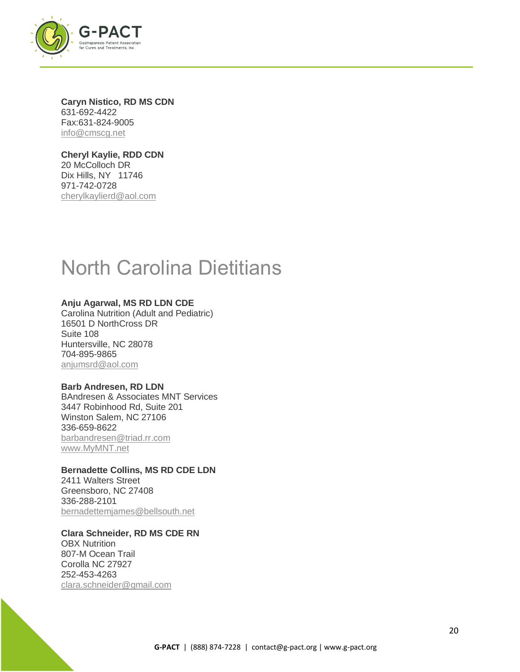

**Caryn Nistico, RD MS CDN** 631-692-4422 Fax:631-824-9005 [info@cmscg.net](mailto:info@cmscg.net)

**Cheryl Kaylie, RDD CDN** 20 McColloch DR Dix Hills, NY 11746 971-742-0728 [cherylkaylierd@aol.com](mailto:cherylkaylierd@aol.com)

# North Carolina Dietitians

## **Anju Agarwal, MS RD LDN CDE**

Carolina Nutrition (Adult and Pediatric) 16501 D NorthCross DR Suite 108 Huntersville, NC 28078 704-895-9865 [anjumsrd@aol.com](mailto:anjumsrd@aol.com)

#### **Barb Andresen, RD LDN**

BAndresen & Associates MNT Services 3447 Robinhood Rd, Suite 201 Winston Salem, NC 27106 336-659-8622 [barbandresen@triad.rr.com](mailto:barbandresen@triad.rr.com) [www.MyMNT.net](http://www.mymnt.net/)

## **Bernadette Collins, MS RD CDE LDN**

2411 Walters Street Greensboro, NC 27408 336-288-2101 [bernadettemjames@bellsouth.net](mailto:bernadettemjames@bellsouth.net)

**Clara Schneider, RD MS CDE RN** OBX Nutrition 807-M Ocean Trail Corolla NC 27927 252-453-4263 [clara.schneider@gmail.com](mailto:clara.schneider@gmail.com)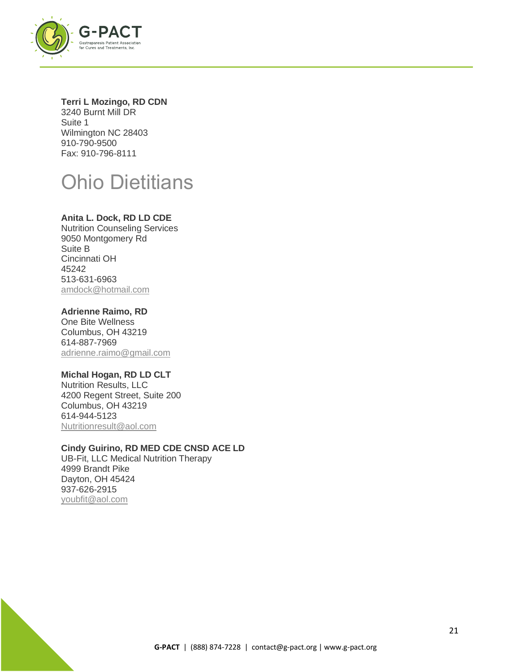

## **Terri L Mozingo, RD CDN**

3240 Burnt Mill DR Suite 1 Wilmington NC 28403 910-790-9500 Fax: 910-796-8111

# Ohio Dietitians

## **Anita L. Dock, RD LD CDE**

Nutrition Counseling Services 9050 Montgomery Rd Suite B Cincinnati OH 45242 513-631-6963 [amdock@hotmail.com](mailto:amdock@hotmail.com)

## **Adrienne Raimo, RD**

One Bite Wellness Columbus, OH 43219 614-887-7969 [adrienne.raimo@gmail.com](mailto:adrienne.raimo@gmail.com)

## **Michal Hogan, RD LD CLT**

Nutrition Results, LLC 4200 Regent Street, Suite 200 Columbus, OH 43219 614-944-5123 [Nutritionresult@aol.com](mailto:Nutritionresult@aol.com)

## **Cindy Guirino, RD MED CDE CNSD ACE LD**

UB-Fit, LLC Medical Nutrition Therapy 4999 Brandt Pike Dayton, OH 45424 937-626-2915 [youbfit@aol.com](mailto:youbfit@aol.com)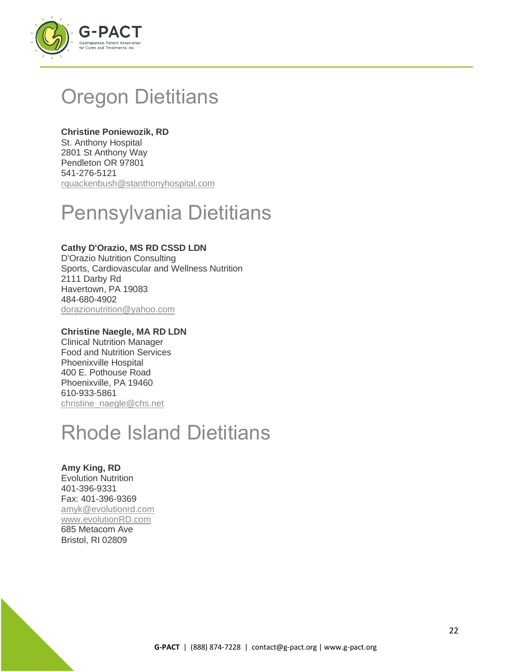

# Oregon Dietitians

## **Christine Poniewozik, RD**

St. Anthony Hospital 2801 St Anthony Way Pendleton OR 97801 541-276-5121 [rquackenbush@stanthonyhospital.com](mailto:rquackenbush@stanthonyhospital.com)

# Pennsylvania Dietitians

## **Cathy D'Orazio, MS RD CSSD LDN**

D'Orazio Nutrition Consulting Sports, Cardiovascular and Wellness Nutrition 2111 Darby Rd Havertown, PA 19083 484-680-4902 [dorazionutrition@yahoo.com](mailto:dorazionutrition@yahoo.com)

## **Christine Naegle, MA RD LDN**

Clinical Nutrition Manager Food and Nutrition Services Phoenixville Hospital 400 E. Pothouse Road Phoenixville, PA 19460 610-933-5861 [christine\\_naegle@chs.net](mailto:christine_naegle@chs.net)

# Rhode Island Dietitians

#### **Amy King, RD** Evolution Nutrition 401-396-9331 Fax: 401-396-9369 [amyk@evolutionrd.com](mailto:amyk@evolutionrd.com) [www.evolutionRD.com](http://www.evolutionrd.com/) 685 Metacom Ave Bristol, RI 02809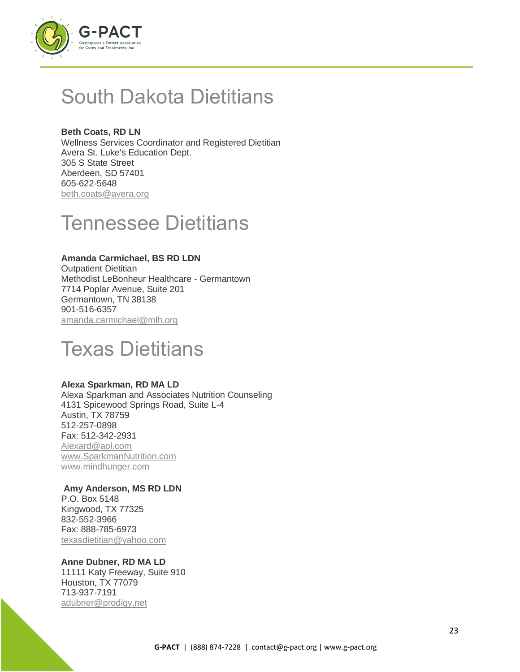

## South Dakota Dietitians

**Beth Coats, RD LN** Wellness Services Coordinator and Registered Dietitian Avera St. Luke's Education Dept. 305 S State Street Aberdeen, SD 57401 605-622-5648 [beth.coats@avera.org](mailto:beth.coats@avera.org)

## Tennessee Dietitians

#### **Amanda Carmichael, BS RD LDN**

Outpatient Dietitian Methodist LeBonheur Healthcare - Germantown 7714 Poplar Avenue, Suite 201 Germantown, TN 38138 901-516-6357 [amanda.carmichael@mlh.org](mailto:amanda.carmichael@mlh.org) 

## Texas Dietitians

#### **Alexa Sparkman, RD MA LD**

Alexa Sparkman and Associates Nutrition Counseling 4131 Spicewood Springs Road, Suite L-4 Austin, TX 78759 512-257-0898 Fax: 512-342-2931 [Alexard@aol.com](mailto:Alexard@aol.com)  [www.SparkmanNutrition.com](http://www.sparkmannutrition.com/) [www.mindhunger.com](http://www.mindhunger.com/)

#### **Amy Anderson, MS RD LDN**

P.O. Box 5148 Kingwood, TX 77325 832-552-3966 Fax: 888-785-6973 [texasdietitian@yahoo.com](mailto:texasdietitian@yahoo.com)

## **Anne Dubner, RD MA LD**

11111 Katy Freeway, Suite 910 Houston, TX 77079 713-937-7191 [adubner@prodigy.net](mailto:adubner@prodigy.net)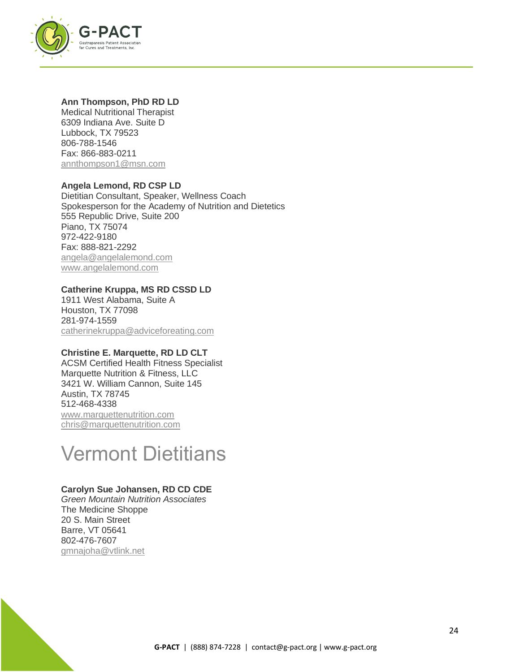

#### **Ann Thompson, PhD RD LD**

Medical Nutritional Therapist 6309 Indiana Ave. Suite D Lubbock, TX 79523 806-788-1546 Fax: 866-883-0211 [annthompson1@msn.com](mailto:annthompson1@msn.com) 

## **Angela Lemond, RD CSP LD**

Dietitian Consultant, Speaker, Wellness Coach Spokesperson for the Academy of Nutrition and Dietetics 555 Republic Drive, Suite 200 Piano, TX 75074 972-422-9180 Fax: 888-821-2292 [angela@angelalemond.com](mailto:angela@angelalemond.com) [www.angelalemond.com](http://www.angelalemond.com/)

## **Catherine Kruppa, MS RD CSSD LD**

1911 West Alabama, Suite A Houston, TX 77098 281-974-1559 [catherinekruppa@adviceforeating.com](mailto:catherinekruppa@adviceforeating.com)

## **Christine E. Marquette, RD LD CLT**

ACSM Certified Health Fitness Specialist Marquette Nutrition & Fitness, LLC 3421 W. William Cannon, Suite 145 Austin, TX 78745 512-468-4338 [www.marquettenutrition.com](http://www.marquettenutrition.com/) [chris@marquettenutrition.com](mailto:chris@marquettenutrition.com)

## Vermont Dietitians

## **Carolyn Sue Johansen, RD CD CDE**

*Green Mountain Nutrition Associates* The Medicine Shoppe 20 S. Main Street Barre, VT 05641 802-476-7607 [gmnajoha@vtlink.net](mailto:gmnajoha@vtlink.net)

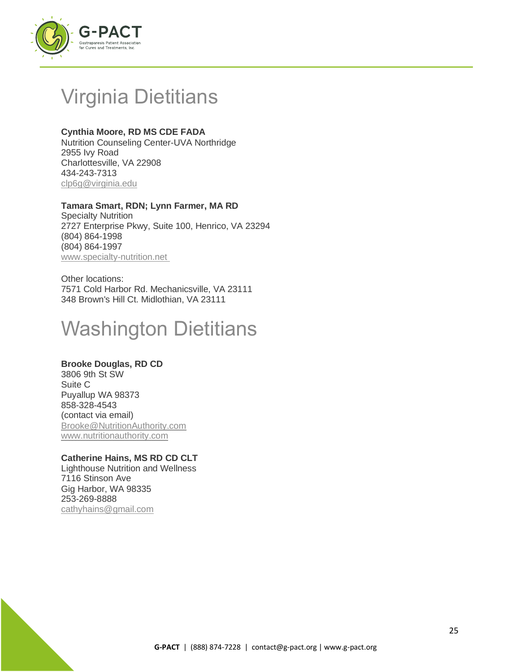

# Virginia Dietitians

## **Cynthia Moore, RD MS CDE FADA**

Nutrition Counseling Center-UVA Northridge 2955 Ivy Road Charlottesville, VA 22908 434-243-7313 [clp6g@virginia.edu](mailto:clp6g@virginia.edu)

## **Tamara Smart, RDN; Lynn Farmer, MA RD**

Specialty Nutrition 2727 Enterprise Pkwy, Suite 100, Henrico, VA 23294 (804) 864-1998 (804) 864-1997 www.specialty-nutrition.net

Other locations: 7571 Cold Harbor Rd. Mechanicsville, VA 23111 348 Brown's Hill Ct. Midlothian, VA 23111

# Washington Dietitians

## **Brooke Douglas, RD CD**

3806 9th St SW Suite C Puyallup WA 98373 858-328-4543 (contact via email) [Brooke@NutritionAuthority.com](mailto:Brooke@NutritionAuthority.com) [www.nutritionauthority.com](http://www.nutritionauthority.com/)

## **Catherine Hains, MS RD CD CLT**

Lighthouse Nutrition and Wellness 7116 Stinson Ave Gig Harbor, WA 98335 253-269-8888 [cathyhains@gmail.com](mailto:cathyhains@gmail.com)